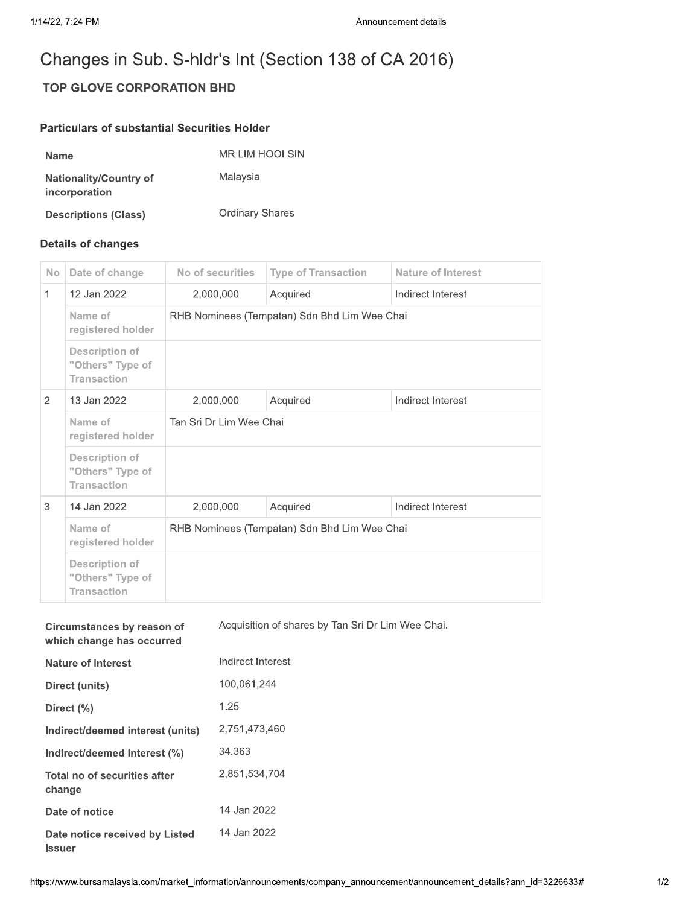## Changes in Sub. S-hldr's Int (Section 138 of CA 2016)

## **TOP GLOVE CORPORATION BHD**

## **Particulars of substantial Securities Holder**

| <b>Name</b>                             | <b>MR LIM HOOI SIN</b> |
|-----------------------------------------|------------------------|
| Nationality/Country of<br>incorporation | Malaysia               |
| <b>Descriptions (Class)</b>             | <b>Ordinary Shares</b> |

## **Details of changes**

**Issuer** 

| <b>No</b> | Date of change                                                  | No of securities                             | <b>Type of Transaction</b> | Nature of Interest |  |
|-----------|-----------------------------------------------------------------|----------------------------------------------|----------------------------|--------------------|--|
| 1         | 12 Jan 2022                                                     | 2,000,000                                    | Acquired                   | Indirect Interest  |  |
|           | Name of<br>registered holder                                    | RHB Nominees (Tempatan) Sdn Bhd Lim Wee Chai |                            |                    |  |
|           | <b>Description of</b><br>"Others" Type of<br><b>Transaction</b> |                                              |                            |                    |  |
| 2         | 13 Jan 2022                                                     | 2,000,000                                    | Acquired                   | Indirect Interest  |  |
|           | Name of<br>registered holder                                    | Tan Sri Dr Lim Wee Chai                      |                            |                    |  |
|           | <b>Description of</b><br>"Others" Type of<br><b>Transaction</b> |                                              |                            |                    |  |
| 3         | 14 Jan 2022                                                     | 2,000,000                                    | Acquired                   | Indirect Interest  |  |
|           | Name of<br>registered holder                                    | RHB Nominees (Tempatan) Sdn Bhd Lim Wee Chai |                            |                    |  |
|           | <b>Description of</b><br>"Others" Type of<br><b>Transaction</b> |                                              |                            |                    |  |

| Circumstances by reason of<br>which change has occurred | Acquisition of shares by Tan Sri Dr Lim Wee Chai |
|---------------------------------------------------------|--------------------------------------------------|
| <b>Nature of interest</b>                               | Indirect Interest                                |
| Direct (units)                                          | 100,061,244                                      |
| Direct $(\% )$                                          | 1.25                                             |
| Indirect/deemed interest (units)                        | 2,751,473,460                                    |
| Indirect/deemed interest (%)                            | 34.363                                           |
| Total no of securities after<br>change                  | 2.851.534.704                                    |
| Date of notice                                          | 14 Jan 2022                                      |
| Date notice received by Listed                          | 14 Jan 2022                                      |